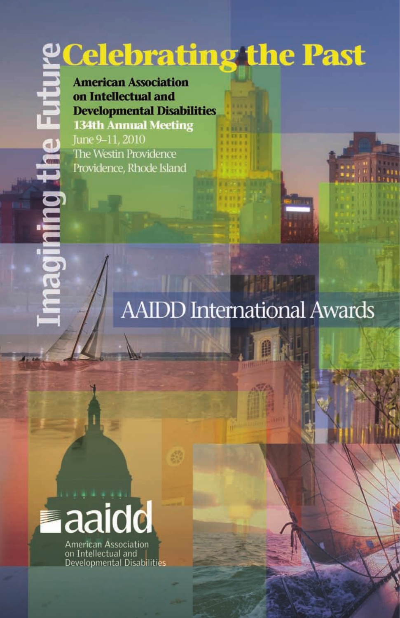# **PCelebrating the Past**

**American Association** on Intellectual and **Developmental Disabilities 134th Annual Meeting** June 9-11, 2010

The Westin Providence Providence, Rhode Island

## **AAIDD International Awards**



**American Association** on Intellectual and **Developmental Disabilities**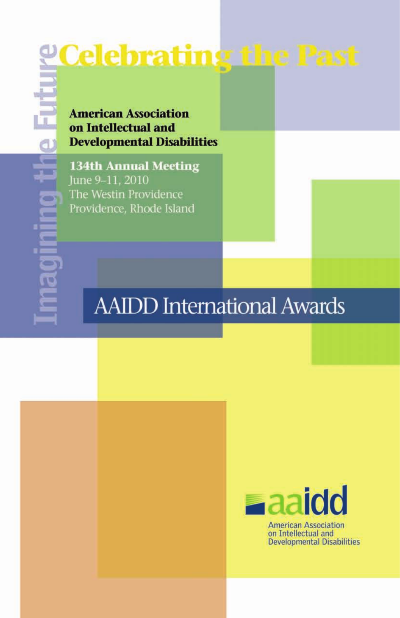# **<u> Celebrating the Past</u>**

**American Association** on Intellectual and **Developmental Disabilities** 

**134th Annual Meeting** June 9-11, 2010 The Westin Providence Providence, Rhode Island

## **AAIDD International Awards**



**American Association** on Intellectual and **Developmental Disabilities**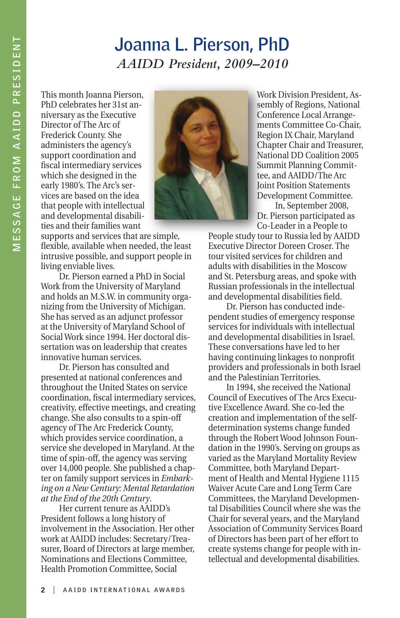#### **Joanna L. Pierson, PhD** *AAIDD President, 2009–2010*

This month Joanna Pierson, PhD celebrates her 31st anniversary as the Executive Director of The Arc of Frederick County. She administers the agency's support coordination and fiscal intermediary services which she designed in the early 1980's. The Arc's services are based on the idea that people with intellectual and developmental disabilities and their families want



supports and services that are simple, flexible, available when needed, the least intrusive possible, and support people in living enviable lives.

Dr. Pierson earned a PhD in Social Work from the University of Maryland and holds an M.S.W. in community organizing from the University of Michigan. She has served as an adjunct professor at the University of Maryland School of Social Work since 1994. Her doctoral dissertation was on leadership that creates innovative human services.

Dr. Pierson has consulted and presented at national conferences and throughout the United States on service coordination, fiscal intermediary services, creativity, effective meetings, and creating change. She also consults to a spin-off agency of The Arc Frederick County, which provides service coordination, a service she developed in Maryland. At the time of spin-off, the agency was serving over 14,000 people. She published a chapter on family support services in *Embarking on a New Century: Mental Retardation at the End of the 20th Century*.

Her current tenure as AAIDD's President follows a long history of involvement in the Association. Her other work at AAIDD includes: Secretary/Treasurer, Board of Directors at large member, Nominations and Elections Committee, Health Promotion Committee, Social

Work Division President, Assembly of Regions, National Conference Local Arrangements Committee Co-Chair, Region IX Chair, Maryland Chapter Chair and Treasurer, National DD Coalition 2005 Summit Planning Committee, and AAIDD/The Arc Joint Position Statements Development Committee.

In, September 2008, Dr. Pierson participated as Co-Leader in a People to

People study tour to Russia led by AAIDD Executive Director Doreen Croser. The tour visited services for children and adults with disabilities in the Moscow and St. Petersburg areas, and spoke with Russian professionals in the intellectual and developmental disabilities field.

Dr. Pierson has conducted independent studies of emergency response services for individuals with intellectual and developmental disabilities in Israel. These conversations have led to her having continuing linkages to nonprofit providers and professionals in both Israel and the Palestinian Territories.

In 1994, she received the National Council of Executives of The Arcs Executive Excellence Award. She co-led the creation and implementation of the selfdetermination systems change funded through the Robert Wood Johnson Foundation in the 1990's. Serving on groups as varied as the Maryland Mortality Review Committee, both Maryland Department of Health and Mental Hygiene 1115 Waiver Acute Care and Long Term Care Committees, the Maryland Developmental Disabilities Council where she was the Chair for several years, and the Maryland Association of Community Services Board of Directors has been part of her effort to create systems change for people with intellectual and developmental disabilities.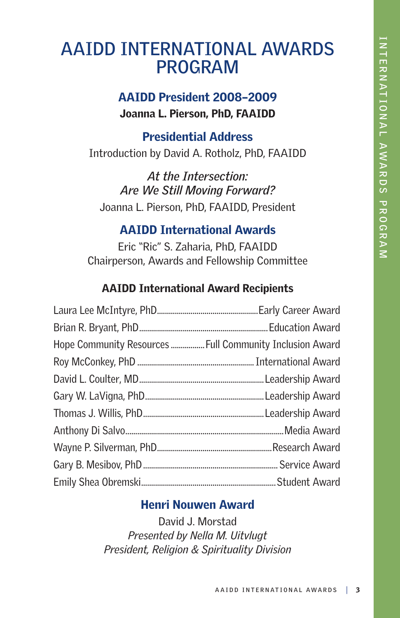### **AAIDD INTERNATIONAL AWARDS PROGRAM**

#### AAIDD President 2008–2009 Joanna L. Pierson, PhD, FAAIDD

#### Presidential Address

Introduction by David A. Rotholz, PhD, FAAIDD

*At the Intersection: Are We Still Moving Forward?* Joanna L. Pierson, PhD, FAAIDD, President

#### AAIDD International Awards

Eric "Ric" S. Zaharia, PhD, FAAIDD Chairperson, Awards and Fellowship Committee

#### AAIDD International Award Recipients

| Hope Community Resources  Full Community Inclusion Award |  |
|----------------------------------------------------------|--|
|                                                          |  |
|                                                          |  |
|                                                          |  |
|                                                          |  |
|                                                          |  |
|                                                          |  |
|                                                          |  |
|                                                          |  |

#### Henri Nouwen Award

David J. Morstad *Presented by Nella M. Uitvlugt President, Religion & Spirituality Division*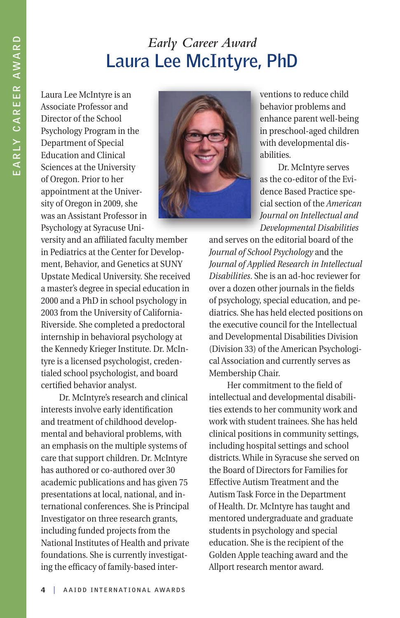#### *Early Career Award* **Laura Lee McIntyre, PhD**

Laura Lee McIntyre is an Associate Professor and Director of the School Psychology Program in the Department of Special Education and Clinical Sciences at the University of Oregon. Prior to her appointment at the University of Oregon in 2009, she was an Assistant Professor in Psychology at Syracuse Uni-



ventions to reduce child behavior problems and enhance parent well-being in preschool-aged children with developmental disabilities.

Dr. McIntyre serves as the co-editor of the Evidence Based Practice special section of the *American Journal on Intellectual and Developmental Disabilities*

versity and an affiliated faculty member in Pediatrics at the Center for Development, Behavior, and Genetics at SUNY Upstate Medical University. She received a master's degree in special education in 2000 and a PhD in school psychology in 2003 from the University of California-Riverside. She completed a predoctoral internship in behavioral psychology at the Kennedy Krieger Institute. Dr. McIntyre is a licensed psychologist, credentialed school psychologist, and board certified behavior analyst.

Dr. McIntyre's research and clinical interests involve early identification and treatment of childhood developmental and behavioral problems, with an emphasis on the multiple systems of care that support children. Dr. McIntyre has authored or co-authored over 30 academic publications and has given 75 presentations at local, national, and international conferences. She is Principal Investigator on three research grants, including funded projects from the National Institutes of Health and private foundations. She is currently investigating the efficacy of family-based inter-

and serves on the editorial board of the *Journal of School Psychology* and the *Journal of Applied Research in Intellectual Disabilities*. She is an ad-hoc reviewer for over a dozen other journals in the fields of psychology, special education, and pediatrics. She has held elected positions on the executive council for the Intellectual and Developmental Disabilities Division (Division 33) of the American Psychological Association and currently serves as Membership Chair.

Her commitment to the field of intellectual and developmental disabilities extends to her community work and work with student trainees. She has held clinical positions in community settings, including hospital settings and school districts. While in Syracuse she served on the Board of Directors for Families for Effective Autism Treatment and the Autism Task Force in the Department of Health. Dr. McIntyre has taught and mentored undergraduate and graduate students in psychology and special education. She is the recipient of the Golden Apple teaching award and the Allport research mentor award.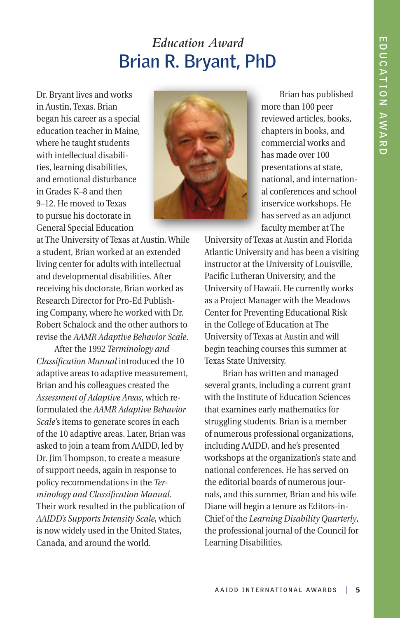### *Education Award*  **Brian R. Bryant, PhD**

Dr. Bryant lives and works in Austin, Texas. Brian began his career as a special education teacher in Maine, where he taught students with intellectual disabilities, learning disabilities, and emotional disturbance in Grades K–8 and then 9–12. He moved to Texas to pursue his doctorate in General Special Education



Brian has published more than 100 peer reviewed articles, books, chapters in books, and commercial works and has made over 100 presentations at state, national, and international conferences and school inservice workshops. He has served as an adjunct faculty member at The

at The University of Texas at Austin. While a student, Brian worked at an extended living center for adults with intellectual and developmental disabilities. After receiving his doctorate, Brian worked as Research Director for Pro-Ed Publishing Company, where he worked with Dr. Robert Schalock and the other authors to revise the *AAMR Adaptive Behavior Scale*.

After the 1992 *Terminology and Classification Manual* introduced the 10 adaptive areas to adaptive measurement, Brian and his colleagues created the *Assessment of Adaptive Areas*, which reformulated the *AAMR Adaptive Behavior Scale*'s items to generate scores in each of the 10 adaptive areas. Later, Brian was asked to join a team from AAIDD, led by Dr. Jim Thompson, to create a measure of support needs, again in response to policy recommendations in the *Terminology and Classification Manual*. Their work resulted in the publication of *AAIDD's Supports Intensity Scale*, which is now widely used in the United States, Canada, and around the world.

University of Texas at Austin and Florida Atlantic University and has been a visiting instructor at the University of Louisville, Pacific Lutheran University, and the University of Hawaii. He currently works as a Project Manager with the Meadows Center for Preventing Educational Risk in the College of Education at The University of Texas at Austin and will begin teaching courses this summer at Texas State University.

Brian has written and managed several grants, including a current grant with the Institute of Education Sciences that examines early mathematics for struggling students. Brian is a member of numerous professional organizations, including AAIDD, and he's presented workshops at the organization's state and national conferences. He has served on the editorial boards of numerous journals, and this summer, Brian and his wife Diane will begin a tenure as Editors-in-Chief of the *Learning Disability Quarterly*, the professional journal of the Council for Learning Disabilities.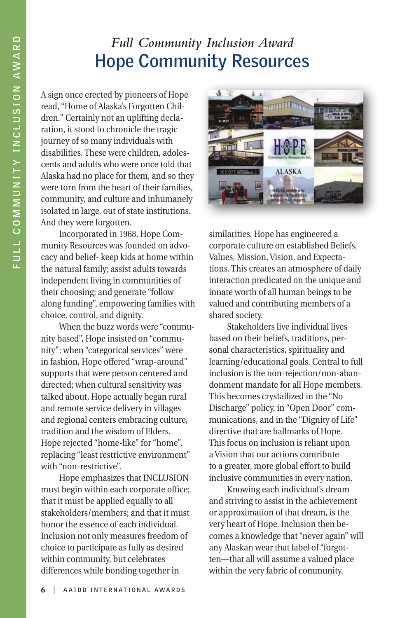#### *Full Community Inclusion Award* **Hope Community Resources**

A sign once erected by pioneers of Hope read, "Home of Alaska's Forgotten Children." Certainly not an uplifting declaration, it stood to chronicle the tragic journey of so many individuals with disabilities. These were children, adolescents and adults who were once told that Alaska had no place for them, and so they were torn from the heart of their families, community, and culture and inhumanely isolated in large, out of state institutions. And they were forgotten.

Incorporated in 1968, Hope Community Resources was founded on advocacy and belief- keep kids at home within the natural family; assist adults towards independent living in communities of their choosing; and generate "follow along funding", empowering families with choice, control, and dignity.

When the buzz words were "community based", Hope insisted on "community"; when "categorical services" were in fashion, Hope offered "wrap-around" supports that were person centered and directed; when cultural sensitivity was talked about, Hope actually began rural and remote service delivery in villages and regional centers embracing culture, tradition and the wisdom of Elders. Hope rejected "home-like" for "home", replacing "least restrictive environment" with "non-restrictive".

Hope emphasizes that INCLUSION must begin within each corporate office; that it must be applied equally to all stakeholders/members; and that it must honor the essence of each individual. Inclusion not only measures freedom of choice to participate as fully as desired within community, but celebrates differences while bonding together in



similarities. Hope has engineered a corporate culture on established Beliefs, Values, Mission, Vision, and Expectations. This creates an atmosphere of daily interaction predicated on the unique and innate worth of all human beings to be valued and contributing members of a shared society.

Stakeholders live individual lives based on their beliefs, traditions, personal characteristics, spirituality and learning/educational goals. Central to full inclusion is the non-rejection/non-abandonment mandate for all Hope members. This becomes crystallized in the "No Discharge" policy, in "Open Door" communications, and in the "Dignity of Life" directive that are hallmarks of Hope. This focus on inclusion is reliant upon a Vision that our actions contribute to a greater, more global effort to build inclusive communities in every nation.

Knowing each individual's dream and striving to assist in the achievement or approximation of that dream, is the very heart of Hope. Inclusion then becomes a knowledge that "never again" will any Alaskan wear that label of "forgotten—that all will assume a valued place within the very fabric of community.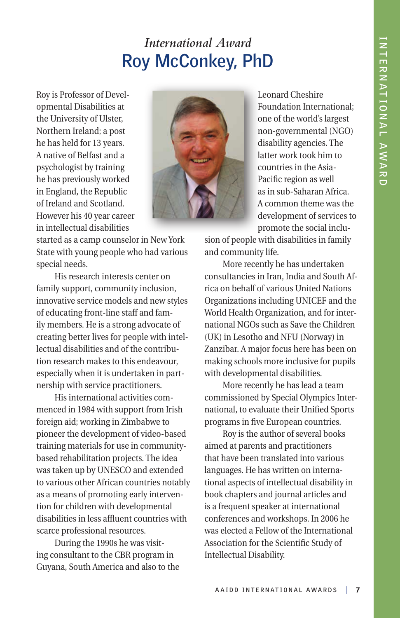## *International Award*  **Roy McConkey, PhD**

Roy is Professor of Developmental Disabilities at the University of Ulster, Northern Ireland; a post he has held for 13 years. A native of Belfast and a psychologist by training he has previously worked in England, the Republic of Ireland and Scotland. However his 40 year career in intellectual disabilities



started as a camp counselor in New York State with young people who had various special needs.

His research interests center on family support, community inclusion, innovative service models and new styles of educating front-line staff and family members. He is a strong advocate of creating better lives for people with intellectual disabilities and of the contribution research makes to this endeavour, especially when it is undertaken in partnership with service practitioners.

His international activities commenced in 1984 with support from Irish foreign aid; working in Zimbabwe to pioneer the development of video-based training materials for use in communitybased rehabilitation projects. The idea was taken up by UNESCO and extended to various other African countries notably as a means of promoting early intervention for children with developmental disabilities in less affluent countries with scarce professional resources.

During the 1990s he was visiting consultant to the CBR program in Guyana, South America and also to the Leonard Cheshire Foundation International; one of the world's largest non-governmental (NGO) disability agencies. The latter work took him to countries in the Asia-Pacific region as well as in sub-Saharan Africa. A common theme was the development of services to promote the social inclu-

sion of people with disabilities in family and community life.

More recently he has undertaken consultancies in Iran, India and South Africa on behalf of various United Nations Organizations including UNICEF and the World Health Organization, and for international NGOs such as Save the Children (UK) in Lesotho and NFU (Norway) in Zanzibar. A major focus here has been on making schools more inclusive for pupils with developmental disabilities.

More recently he has lead a team commissioned by Special Olympics International, to evaluate their Unified Sports programs in five European countries.

Roy is the author of several books aimed at parents and practitioners that have been translated into various languages. He has written on international aspects of intellectual disability in book chapters and journal articles and is a frequent speaker at international conferences and workshops. In 2006 he was elected a Fellow of the International Association for the Scientific Study of Intellectual Disability.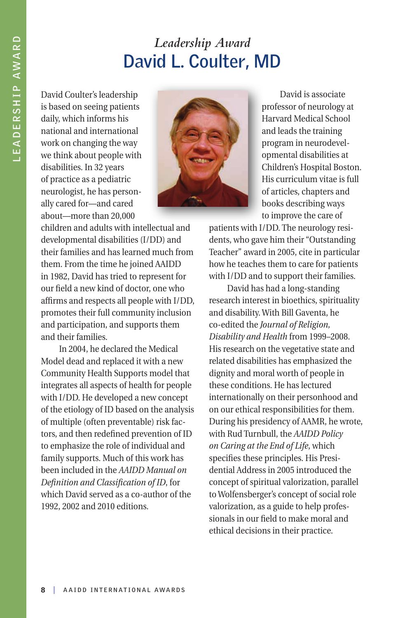## *Leadership Award* **David L. Coulter, MD**

David Coulter's leadership is based on seeing patients daily, which informs his national and international work on changing the way we think about people with disabilities. In 32 years of practice as a pediatric neurologist, he has personally cared for—and cared about—more than 20,000



David is associate professor of neurology at Harvard Medical School and leads the training program in neurodevelopmental disabilities at Children's Hospital Boston. His curriculum vitae is full of articles, chapters and books describing ways to improve the care of

children and adults with intellectual and developmental disabilities (I/DD) and their families and has learned much from them. From the time he joined AAIDD in 1982, David has tried to represent for our field a new kind of doctor, one who affirms and respects all people with I/DD, promotes their full community inclusion and participation, and supports them and their families.

In 2004, he declared the Medical Model dead and replaced it with a new Community Health Supports model that integrates all aspects of health for people with I/DD. He developed a new concept of the etiology of ID based on the analysis of multiple (often preventable) risk factors, and then redefined prevention of ID to emphasize the role of individual and family supports. Much of this work has been included in the *AAIDD Manual on Definition and Classification of ID*, for which David served as a co-author of the 1992, 2002 and 2010 editions.

patients with I/DD. The neurology residents, who gave him their "Outstanding Teacher" award in 2005, cite in particular how he teaches them to care for patients with I/DD and to support their families.

David has had a long-standing research interest in bioethics, spirituality and disability. With Bill Gaventa, he co-edited the *Journal of Religion, Disability and Health* from 1999–2008. His research on the vegetative state and related disabilities has emphasized the dignity and moral worth of people in these conditions. He has lectured internationally on their personhood and on our ethical responsibilities for them. During his presidency of AAMR, he wrote, with Rud Turnbull, the *AAIDD Policy on Caring at the End of Life*, which specifies these principles. His Presidential Address in 2005 introduced the concept of spiritual valorization, parallel to Wolfensberger's concept of social role valorization, as a guide to help professionals in our field to make moral and ethical decisions in their practice.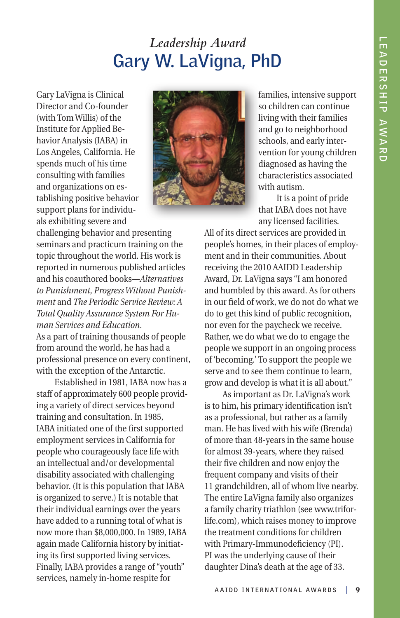## *Leadership Award* **Gary W. LaVigna, PhD**

Gary LaVigna is Clinical Director and Co-founder (with Tom Willis) of the Institute for Applied Behavior Analysis (IABA) in Los Angeles, California. He spends much of his time consulting with families and organizations on establishing positive behavior support plans for individuals exhibiting severe and



challenging behavior and presenting seminars and practicum training on the topic throughout the world. His work is reported in numerous published articles and his coauthored books—*Alternatives to Punishment*, *Progress Without Punishment* and *The Periodic Service Review: A Total Quality Assurance System For Human Services and Education*.

As a part of training thousands of people from around the world, he has had a professional presence on every continent, with the exception of the Antarctic.

Established in 1981, IABA now has a staff of approximately 600 people providing a variety of direct services beyond training and consultation. In 1985, IABA initiated one of the first supported employment services in California for people who courageously face life with an intellectual and/or developmental disability associated with challenging behavior. (It is this population that IABA is organized to serve.) It is notable that their individual earnings over the years have added to a running total of what is now more than \$8,000,000. In 1989, IABA again made California history by initiating its first supported living services. Finally, IABA provides a range of "youth" services, namely in-home respite for

families, intensive support so children can continue living with their families and go to neighborhood schools, and early intervention for young children diagnosed as having the characteristics associated with autism.

It is a point of pride that IABA does not have any licensed facilities.

All of its direct services are provided in people's homes, in their places of employment and in their communities. About receiving the 2010 AAIDD Leadership Award, Dr. LaVigna says "I am honored and humbled by this award. As for others in our field of work, we do not do what we do to get this kind of public recognition, nor even for the paycheck we receive. Rather, we do what we do to engage the people we support in an ongoing process of 'becoming.' To support the people we serve and to see them continue to learn, grow and develop is what it is all about."

As important as Dr. LaVigna's work is to him, his primary identification isn't as a professional, but rather as a family man. He has lived with his wife (Brenda) of more than 48-years in the same house for almost 39-years, where they raised their five children and now enjoy the frequent company and visits of their 11 grandchildren, all of whom live nearby. The entire LaVigna family also organizes a family charity triathlon (see www.triforlife.com), which raises money to improve the treatment conditions for children with Primary-Immunodeficiency (PI). PI was the underlying cause of their daughter Dina's death at the age of 33.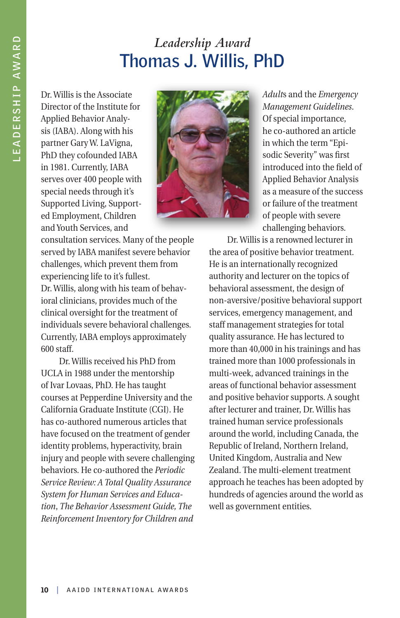## *Leadership Award* **Thomas J. Willis, PhD**

Dr. Willis is the Associate Director of the Institute for Applied Behavior Analysis (IABA). Along with his partner Gary W. LaVigna, PhD they cofounded IABA in 1981. Currently, IABA serves over 400 people with special needs through it's Supported Living, Supported Employment, Children and Youth Services, and



consultation services. Many of the people served by IABA manifest severe behavior challenges, which prevent them from experiencing life to it's fullest. Dr. Willis, along with his team of behavioral clinicians, provides much of the clinical oversight for the treatment of individuals severe behavioral challenges. Currently, IABA employs approximately 600 staff.

Dr. Willis received his PhD from UCLA in 1988 under the mentorship of Ivar Lovaas, PhD. He has taught courses at Pepperdine University and the California Graduate Institute (CGI). He has co-authored numerous articles that have focused on the treatment of gender identity problems, hyperactivity, brain injury and people with severe challenging behaviors. He co-authored the *Periodic Service Review: A Total Quality Assurance System for Human Services and Education*, *The Behavior Assessment Guide, The Reinforcement Inventory for Children and* 

*Adult*s and the *Emergency Management Guidelines*. Of special importance, he co-authored an article in which the term "Episodic Severity" was first introduced into the field of Applied Behavior Analysis as a measure of the success or failure of the treatment of people with severe challenging behaviors.

Dr. Willis is a renowned lecturer in the area of positive behavior treatment. He is an internationally recognized authority and lecturer on the topics of behavioral assessment, the design of non-aversive/positive behavioral support services, emergency management, and staff management strategies for total quality assurance. He has lectured to more than 40,000 in his trainings and has trained more than 1000 professionals in multi-week, advanced trainings in the areas of functional behavior assessment and positive behavior supports. A sought after lecturer and trainer, Dr. Willis has trained human service professionals around the world, including Canada, the Republic of Ireland, Northern Ireland, United Kingdom, Australia and New Zealand. The multi-element treatment approach he teaches has been adopted by hundreds of agencies around the world as well as government entities.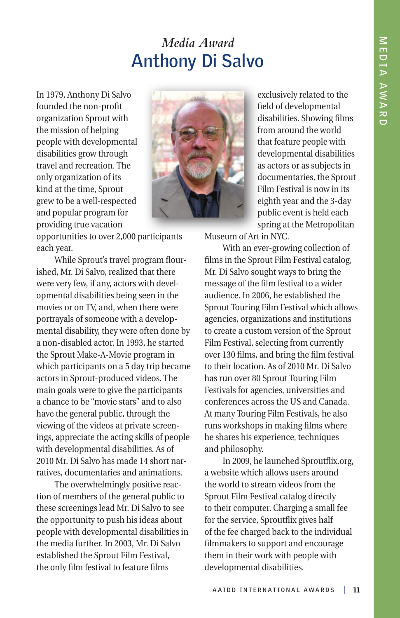#### *Media Award* **Anthony Di Salvo**

In 1979, Anthony Di Salvo founded the non-profit organization Sprout with the mission of helping people with developmental disabilities grow through travel and recreation. The only organization of its kind at the time, Sprout grew to be a well-respected and popular program for providing true vacation



opportunities to over 2,000 participants each year.

While Sprout's travel program flourished, Mr. Di Salvo, realized that there were very few, if any, actors with developmental disabilities being seen in the movies or on TV, and, when there were portrayals of someone with a developmental disability, they were often done by a non-disabled actor. In 1993, he started the Sprout Make-A-Movie program in which participants on a 5 day trip became actors in Sprout-produced videos. The main goals were to give the participants a chance to be "movie stars" and to also have the general public, through the viewing of the videos at private screenings, appreciate the acting skills of people with developmental disabilities. As of 2010 Mr. Di Salvo has made 14 short narratives, documentaries and animations.

The overwhelmingly positive reaction of members of the general public to these screenings lead Mr. Di Salvo to see the opportunity to push his ideas about people with developmental disabilities in the media further. In 2003, Mr. Di Salvo established the Sprout Film Festival, the only film festival to feature films

exclusively related to the field of developmental disabilities. Showing films from around the world that feature people with developmental disabilities as actors or as subjects in documentaries, the Sprout Film Festival is now in its eighth year and the 3-day public event is held each spring at the Metropolitan

Museum of Art in NYC.

With an ever-growing collection of films in the Sprout Film Festival catalog, Mr. Di Salvo sought ways to bring the message of the film festival to a wider audience. In 2006, he established the Sprout Touring Film Festival which allows agencies, organizations and institutions to create a custom version of the Sprout Film Festival, selecting from currently over 130 films, and bring the film festival to their location. As of 2010 Mr. Di Salvo has run over 80 Sprout Touring Film Festivals for agencies, universities and conferences across the US and Canada. At many Touring Film Festivals, he also runs workshops in making films where he shares his experience, techniques and philosophy.

In 2009, he launched Sproutflix.org, a website which allows users around the world to stream videos from the Sprout Film Festival catalog directly to their computer. Charging a small fee for the service, Sproutflix gives half of the fee charged back to the individual filmmakers to support and encourage them in their work with people with developmental disabilities.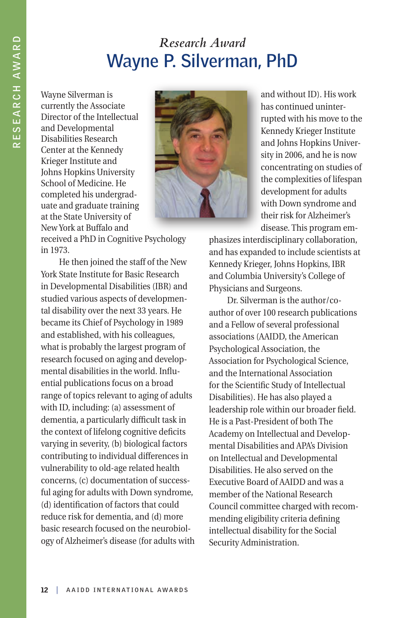#### *Research Award*  **Wayne P. Silverman, PhD**

Wayne Silverman is currently the Associate Director of the Intellectual and Developmental Disabilities Research Center at the Kennedy Krieger Institute and Johns Hopkins University School of Medicine. He completed his undergraduate and graduate training at the State University of New York at Buffalo and



received a PhD in Cognitive Psychology in 1973.

He then joined the staff of the New York State Institute for Basic Research in Developmental Disabilities (IBR) and studied various aspects of developmental disability over the next 33 years. He became its Chief of Psychology in 1989 and established, with his colleagues, what is probably the largest program of research focused on aging and developmental disabilities in the world. Influential publications focus on a broad range of topics relevant to aging of adults with ID, including: (a) assessment of dementia, a particularly difficult task in the context of lifelong cognitive deficits varying in severity, (b) biological factors contributing to individual differences in vulnerability to old-age related health concerns, (c) documentation of successful aging for adults with Down syndrome, (d) identification of factors that could reduce risk for dementia, and (d) more basic research focused on the neurobiology of Alzheimer's disease (for adults with and without ID). His work has continued uninterrupted with his move to the Kennedy Krieger Institute and Johns Hopkins University in 2006, and he is now concentrating on studies of the complexities of lifespan development for adults with Down syndrome and their risk for Alzheimer's disease. This program em-

phasizes interdisciplinary collaboration, and has expanded to include scientists at Kennedy Krieger, Johns Hopkins, IBR and Columbia University's College of Physicians and Surgeons.

Dr. Silverman is the author/coauthor of over 100 research publications and a Fellow of several professional associations (AAIDD, the American Psychological Association, the Association for Psychological Science, and the International Association for the Scientific Study of Intellectual Disabilities). He has also played a leadership role within our broader field. He is a Past-President of both The Academy on Intellectual and Developmental Disabilities and APA's Division on Intellectual and Developmental Disabilities. He also served on the Executive Board of AAIDD and was a member of the National Research Council committee charged with recommending eligibility criteria defining intellectual disability for the Social Security Administration.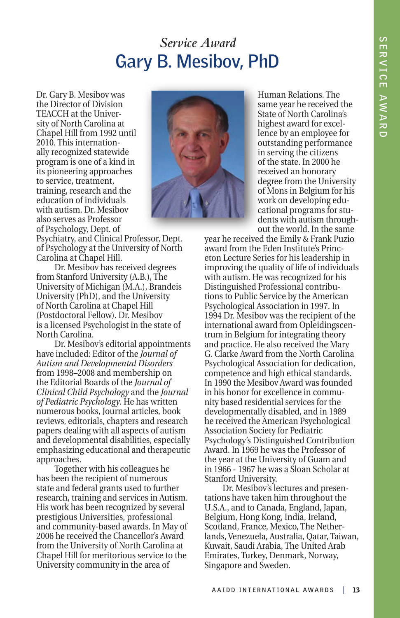#### *Service Award* **Gary B. Mesibov, PhD**

Dr. Gary B. Mesibov was the Director of Division TEACCH at the University of North Carolina at Chapel Hill from 1992 until 2010. This internationally recognized statewide program is one of a kind in its pioneering approaches to service, treatment, training, research and the education of individuals with autism. Dr. Mesibov also serves as Professor of Psychology, Dept. of



Psychiatry, and Clinical Professor, Dept. of Psychology at the University of North Carolina at Chapel Hill.

Dr. Mesibov has received degrees from Stanford University (A.B.), The University of Michigan (M.A.), Brandeis University (PhD), and the University of North Carolina at Chapel Hill (Postdoctoral Fellow). Dr. Mesibov is a licensed Psychologist in the state of North Carolina.

Dr. Mesibov's editorial appointments have included: Editor of the *Journal of Autism and Developmental Disorders* from 1998–2008 and membership on the Editorial Boards of the *Journal of Clinical Child Psychology* and the *Journal of Pediatric Psychology*. He has written numerous books, Journal articles, book reviews, editorials, chapters and research papers dealing with all aspects of autism and developmental disabilities, especially emphasizing educational and therapeutic approaches.

Together with his colleagues he has been the recipient of numerous state and federal grants used to further research, training and services in Autism. His work has been recognized by several prestigious Universities, professional and community-based awards. In May of 2006 he received the Chancellor's Award from the University of North Carolina at Chapel Hill for meritorious service to the University community in the area of

Human Relations. The same year he received the State of North Carolina's highest award for excellence by an employee for outstanding performance in serving the citizens of the state. In 2000 he received an honorary degree from the University of Mons in Belgium for his work on developing educational programs for students with autism throughout the world. In the same

year he received the Emily & Frank Puzio award from the Eden Institute's Princeton Lecture Series for his leadership in improving the quality of life of individuals with autism. He was recognized for his Distinguished Professional contributions to Public Service by the American Psychological Association in 1997. In 1994 Dr. Mesibov was the recipient of the international award from Opleidingscentrum in Belgium for integrating theory and practice. He also received the Mary G. Clarke Award from the North Carolina Psychological Association for dedication, competence and high ethical standards. In 1990 the Mesibov Award was founded in his honor for excellence in community based residential services for the developmentally disabled, and in 1989 he received the American Psychological Association Society for Pediatric Psychology's Distinguished Contribution Award. In 1969 he was the Professor of the year at the University of Guam and in 1966 - 1967 he was a Sloan Scholar at Stanford University.

Dr. Mesibov's lectures and presentations have taken him throughout the U.S.A., and to Canada, England, Japan, Belgium, Hong Kong, India, Ireland, Scotland, France, Mexico, The Netherlands, Venezuela, Australia, Qatar, Taiwan, Kuwait, Saudi Arabia, The United Arab Emirates, Turkey, Denmark, Norway, Singapore and Sweden.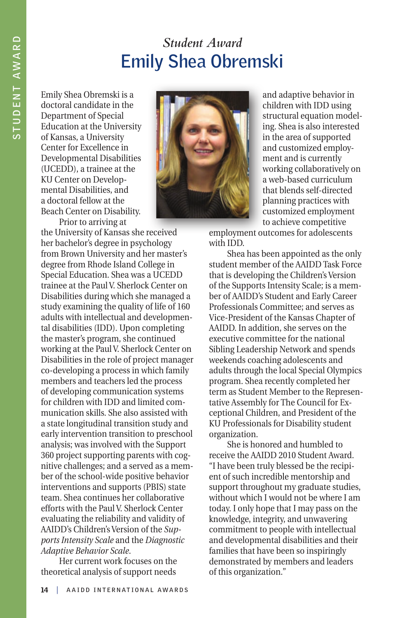## *Student Award* **Emily Shea Obremski**

Emily Shea Obremski is a doctoral candidate in the Department of Special Education at the University of Kansas, a University Center for Excellence in Developmental Disabilities (UCEDD), a trainee at the KU Center on Developmental Disabilities, and a doctoral fellow at the Beach Center on Disability.

Prior to arriving at



and adaptive behavior in children with IDD using structural equation modeling. Shea is also interested in the area of supported and customized employment and is currently working collaboratively on a web-based curriculum that blends self-directed planning practices with customized employment to achieve competitive

employment outcomes for adolescents with IDD.

Shea has been appointed as the only student member of the AAIDD Task Force that is developing the Children's Version of the Supports Intensity Scale; is a member of AAIDD's Student and Early Career Professionals Committee; and serves as Vice-President of the Kansas Chapter of AAIDD. In addition, she serves on the executive committee for the national Sibling Leadership Network and spends weekends coaching adolescents and adults through the local Special Olympics program. Shea recently completed her term as Student Member to the Representative Assembly for The Council for Exceptional Children, and President of the KU Professionals for Disability student organization.

She is honored and humbled to receive the AAIDD 2010 Student Award. "I have been truly blessed be the recipient of such incredible mentorship and support throughout my graduate studies, without which I would not be where I am today. I only hope that I may pass on the knowledge, integrity, and unwavering commitment to people with intellectual and developmental disabilities and their families that have been so inspiringly demonstrated by members and leaders of this organization."

the University of Kansas she received her bachelor's degree in psychology from Brown University and her master's degree from Rhode Island College in Special Education. Shea was a UCEDD trainee at the Paul V. Sherlock Center on Disabilities during which she managed a study examining the quality of life of 160 adults with intellectual and developmental disabilities (IDD). Upon completing the master's program, she continued working at the Paul V. Sherlock Center on Disabilities in the role of project manager co-developing a process in which family members and teachers led the process of developing communication systems for children with IDD and limited communication skills. She also assisted with a state longitudinal transition study and early intervention transition to preschool analysis; was involved with the Support 360 project supporting parents with cognitive challenges; and a served as a member of the school-wide positive behavior interventions and supports (PBIS) state team. Shea continues her collaborative efforts with the Paul V. Sherlock Center evaluating the reliability and validity of AAIDD's Children's Version of the *Supports Intensity Scale* and the *Diagnostic Adaptive Behavior Scale*.

Her current work focuses on the theoretical analysis of support needs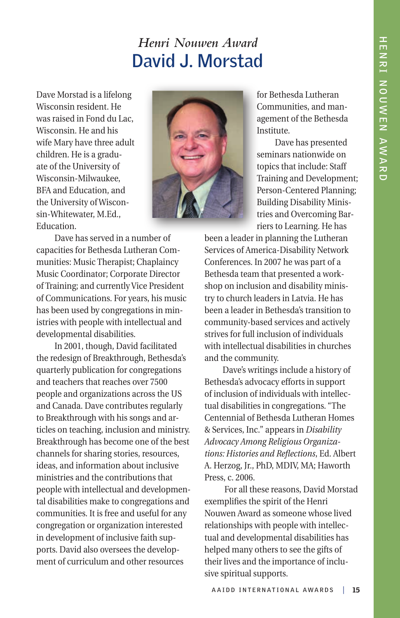#### *Henri Nouwen Award* **David J. Morstad**

Dave Morstad is a lifelong Wisconsin resident. He was raised in Fond du Lac, Wisconsin. He and his wife Mary have three adult children. He is a graduate of the University of Wisconsin-Milwaukee, BFA and Education, and the University of Wisconsin-Whitewater, M.Ed., Education.



for Bethesda Lutheran Communities, and management of the Bethesda Institute.

Dave has presented seminars nationwide on topics that include: Staff Training and Development; Person-Centered Planning; Building Disability Ministries and Overcoming Barriers to Learning. He has

Dave has served in a number of capacities for Bethesda Lutheran Communities: Music Therapist; Chaplaincy Music Coordinator; Corporate Director of Training; and currently Vice President of Communications. For years, his music has been used by congregations in ministries with people with intellectual and developmental disabilities.

In 2001, though, David facilitated the redesign of Breakthrough, Bethesda's quarterly publication for congregations and teachers that reaches over 7500 people and organizations across the US and Canada. Dave contributes regularly to Breakthrough with his songs and articles on teaching, inclusion and ministry. Breakthrough has become one of the best channels for sharing stories, resources, ideas, and information about inclusive ministries and the contributions that people with intellectual and developmental disabilities make to congregations and communities. It is free and useful for any congregation or organization interested in development of inclusive faith supports. David also oversees the development of curriculum and other resources

been a leader in planning the Lutheran Services of America-Disability Network Conferences. In 2007 he was part of a Bethesda team that presented a workshop on inclusion and disability ministry to church leaders in Latvia. He has been a leader in Bethesda's transition to community-based services and actively strives for full inclusion of individuals with intellectual disabilities in churches and the community.

Dave's writings include a history of Bethesda's advocacy efforts in support of inclusion of individuals with intellectual disabilities in congregations. "The Centennial of Bethesda Lutheran Homes & Services, Inc." appears in *Disability Advocacy Among Religious Organizations: Histories and Reflections*, Ed. Albert A. Herzog, Jr., PhD, MDIV, MA; Haworth Press, c. 2006.

 For all these reasons, David Morstad exemplifies the spirit of the Henri Nouwen Award as someone whose lived relationships with people with intellectual and developmental disabilities has helped many others to see the gifts of their lives and the importance of inclusive spiritual supports.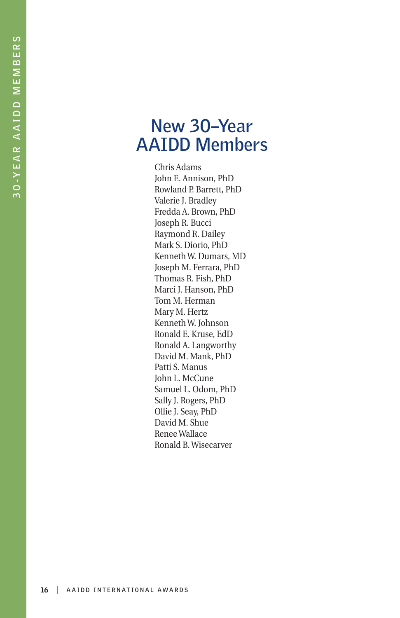#### **New 30–Year AAIDD Members**

Chris Adams John E. Annison, PhD Rowland P. Barrett, PhD Valerie J. Bradley Fredda A. Brown, PhD Joseph R. Bucci Raymond R. Dailey Mark S. Diorio, PhD Kenneth W. Dumars, MD Joseph M. Ferrara, PhD Thomas R. Fish, PhD Marci J. Hanson, PhD Tom M. Herman Mary M. Hertz Kenneth W. Johnson Ronald E. Kruse, EdD Ronald A. Langworthy David M. Mank, PhD Patti S. Manus John L. McCune Samuel L. Odom, PhD Sally J. Rogers, PhD Ollie J. Seay, PhD David M. Shue Renee Wallace Ronald B. Wisecarver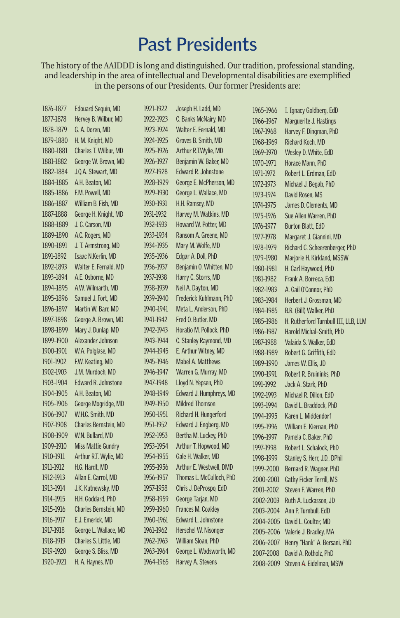## **Past Presidents**

The history of the AAIDDD is long and distinguished. Our tradition, professional standing, and leadership in the area of intellectual and Developmental disabilities are exemplified in the persons of our Presidents. Our former Presidents are:

| 1876-1877 | <b>Edouard Sequin, MD</b> | 1921–1922 | Joseph H. Ladd, MD       | 1965-1966 | I. Ignacy Goldberg, EdD              |
|-----------|---------------------------|-----------|--------------------------|-----------|--------------------------------------|
| 1877-1878 | Hervey B. Wilbur, MD      | 1922-1923 | C. Banks McNairy, MD     | 1966-1967 | Marquerite J. Hastings               |
| 1878-1879 | G. A. Doren, MD           | 1923-1924 | Walter E. Fernald, MD    | 1967-1968 | Harvey F. Dingman, PhD               |
| 1879-1880 | H. M. Knight, MD          | 1924-1925 | Groves B. Smith, MD      | 1968-1969 | Richard Koch, MD                     |
| 1880-1881 | Charles T. Wilbur, MD     | 1925-1926 | Arthur R.T.Wylie, MD     | 1969-1970 | Wesley D. White, EdD                 |
| 1881-1882 | George W. Brown, MD       | 1926-1927 | Benjamin W. Baker, MD    | 1970-1971 | Horace Mann, PhD                     |
| 1882-1884 | J.Q.A. Stewart, MD        | 1927-1928 | Edward R. Johnstone      | 1971-1972 | Robert L. Erdman, EdD                |
| 1884-1885 | A.H. Beaton, MD           | 1928-1929 | George E. McPherson, MD  | 1972-1973 | Michael J. Begab, PhD                |
| 1885-1886 | F.M. Powell, MD           | 1929-1930 | George L. Wallace, MD    | 1973-1974 | David Rosen, MS                      |
| 1886-1887 | William B. Fish, MD       | 1930-1931 | H.H. Ramsey, MD          | 1974-1975 | James D. Clements, MD                |
| 1887-1888 | George H. Knight, MD      | 1931-1932 | Harvey M. Watkins, MD    | 1975-1976 | Sue Allen Warren, PhD                |
| 1888-1889 | J. C. Carson, MD          | 1932-1933 | Howard W. Potter, MD     | 1976-1977 | <b>Burton Blatt, EdD</b>             |
| 1889-1890 | A.C. Rogers, MD           | 1933-1934 | Ransom A. Greene, MD     | 1977-1978 | Margaret J. Giannini, MD             |
| 1890-1891 | J. T. Armstrong, MD       | 1934-1935 | Mary M. Wolfe, MD        | 1978-1979 | Richard C. Scheerenberger, PhD       |
| 1891-1892 | Isaac N.Kerlin, MD        | 1935-1936 | Edgar A. Doll, PhD       | 1979-1980 | Marjorie H. Kirkland, MSSW           |
| 1892-1893 | Walter E. Fernald, MD     | 1936-1937 | Benjamin O. Whitten, MD  | 1980-1981 | H. Carl Haywood, PhD                 |
| 1893-1894 | A.E. Osborne, MD          | 1937-1938 | Harry C. Storrs, MD      | 1981-1982 | Frank A. Borreca, EdD                |
| 1894-1895 | A.W. Wilmarth, MD         | 1938-1939 | Neil A. Dayton, MD       | 1982-1983 | A. Gail O'Connor, PhD                |
| 1895-1896 | Samuel J. Fort, MD        | 1939-1940 | Frederick Kuhlmann, PhD  | 1983-1984 | Herbert J. Grossman, MD              |
| 1896-1897 | Martin W. Barr, MD        | 1940-1941 | Meta L. Anderson, PhD    | 1984-1985 | B.R. (Bill) Walker, PhD              |
| 1897-1898 | George A. Brown, MD       | 1941-1942 | Fred O. Butler, MD       | 1985-1986 | H. Rutherford Turnbull III, LLB, LLM |
| 1898-1899 | Mary J. Dunlap, MD        | 1942-1943 | Horatio M. Pollock, PhD  | 1986-1987 | Harold Michal-Smith, PhD             |
| 1899-1900 | Alexander Johnson         | 1943-1944 | C. Stanley Raymond, MD   | 1987-1988 | Valaida S. Walker, EdD               |
| 1900-1901 | W.A. Polglase, MD         | 1944-1945 | E. Arthur Witney, MD     | 1988-1989 | Robert G. Griffith, EdD              |
| 1901-1902 | F.W. Keating, MD          | 1945-1946 | Mabel A. Matthews        | 1989-1990 | James W. Ellis, JD                   |
| 1902-1903 | J.M. Murdoch, MD          | 1946-1947 | Warren G. Murray, MD     | 1990-1991 | Robert R. Bruininks, PhD             |
| 1903-1904 | Edward R. Johnstone       | 1947-1948 | Lloyd N. Yepsen, PhD     | 1991-1992 | Jack A. Stark, PhD                   |
| 1904-1905 | A.H. Beaton, MD           | 1948-1949 | Edward J. Humphreys, MD  | 1992-1993 | Michael R. Dillon, EdD               |
| 1905-1906 | George Mogridge, MD       | 1949-1950 | <b>Mildred Thomson</b>   | 1993-1994 | David L. Braddock, PhD               |
| 1906-1907 | W.H.C. Smith, MD          | 1950-1951 | Richard H. Hungerford    | 1994-1995 | Karen L. Middendorf                  |
| 1907-1908 | Charles Bernstein, MD     | 1951-1952 | Edward J. Engberg, MD    | 1995-1996 | William E. Kiernan, PhD              |
| 1908-1909 | W.N. Bullard, MD          | 1952-1953 | Bertha M. Luckey, PhD    | 1996-1997 | Pamela C. Baker, PhD                 |
| 1909-1910 | <b>Miss Mattie Gundry</b> | 1953-1954 | Arthur T. Hopwood, MD    | 1997-1998 | Robert L. Schalock, PhD              |
| 1910-1911 | Arthur R.T. Wylie, MD     | 1954-1955 | Gale H. Walker, MD       | 1998-1999 | Stanley S. Herr, J.D., DPhil         |
| 1911-1912 | H.G. Hardt, MD            | 1955-1956 | Arthur E. Westwell, DMD  | 1999-2000 | Bernard R. Wagner, PhD               |
| 1912-1913 | Allan E. Carrol, MD       | 1956-1957 | Thomas L. McCulloch, PhD | 2000-2001 | Cathy Ficker Terrill, MS             |
| 1913-1914 | J.K. Kutnewsky, MD        | 1957-1958 | Chris J. DeProspo, EdD   | 2001-2002 | Steven F. Warren, PhD                |
| 1914-1915 | H.H. Goddard, PhD         | 1958-1959 | George Tarjan, MD        | 2002-2003 | Ruth A. Luckasson, JD                |
| 1915-1916 | Charles Bernstein, MD     | 1959-1960 | Frances M. Coakley       | 2003-2004 | Ann P. Turnbull, EdD                 |
| 1916-1917 | E.J. Emerick, MD          | 1960-1961 | Edward L. Johnstone      | 2004-2005 | David L. Coulter, MD                 |
| 1917-1918 | George L. Wallace, MD     | 1961-1962 | Herschel W. Nisonger     | 2005-2006 | Valerie J. Bradley, MA               |
| 1918-1919 | Charles S. Little, MD     | 1962-1963 | William Sloan, PhD       | 2006-2007 | Henry "Hank" A. Bersani, PhD         |
| 1919-1920 | George S. Bliss, MD       | 1963-1964 | George L. Wadsworth, MD  | 2007-2008 | David A. Rotholz, PhD                |
| 1920-1921 | H. A. Haynes, MD          | 1964-1965 | Harvey A. Stevens        | 2008-2009 | Steven A. Eidelman, MSW              |
|           |                           |           |                          |           |                                      |